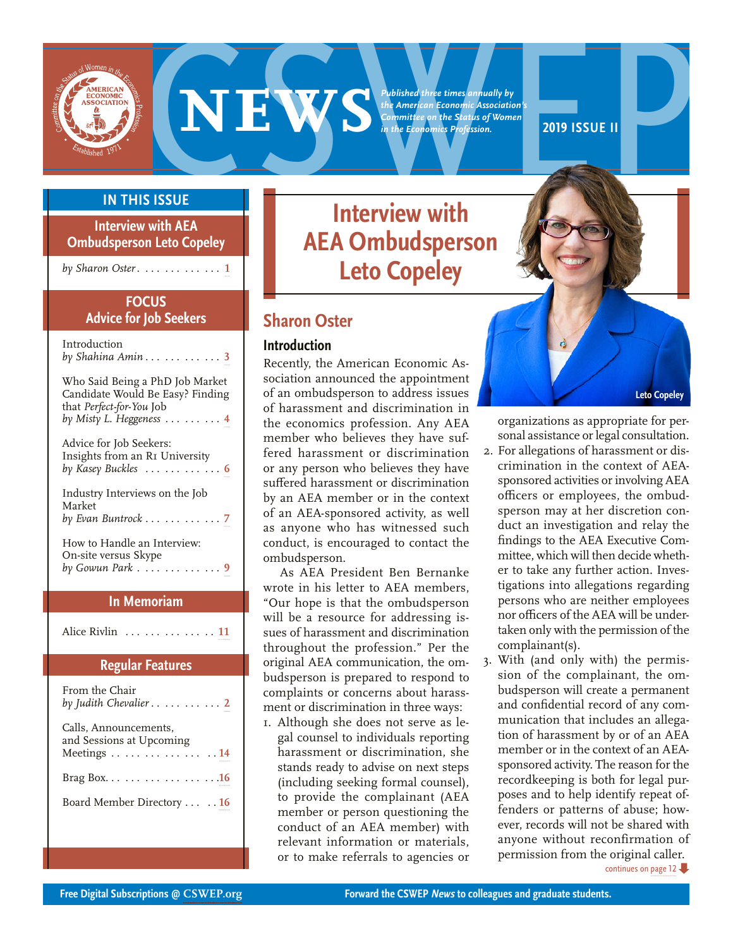<span id="page-0-0"></span>

**EXERCISE SERVICE SERVICE AND ARCHITECT ECONOMIC ASSOCIATION**<br> *COMMITTEE ON the Status of Women*<br> **2019 ISSUE II**<br> **2019 ISSUE II**<br> **2019 ISSUE II**<br> **2019 ISSUE** 

*Published three times annually by the American Economic Association's Committee on the Status of Women in the Economics Profession.*

# **IN THIS ISSUE**

**Interview with AEA Ombudsperson Leto Copeley** 

*by Sharon Oster* . .. . .. . .. . .. . **1**

## **FOCUS Advice for Job Seekers**

| Introduction<br>by Shahina Amin $\ldots \ldots \ldots \ldots 3$                                                               |
|-------------------------------------------------------------------------------------------------------------------------------|
| Who Said Being a PhD Job Market<br>Candidate Would Be Easy? Finding<br>that Perfect-for-You Job<br>by Misty L. Heggeness    4 |
| Advice for Job Seekers:<br>Insights from an RI University<br>by Kasey Buckles $\ldots \ldots \ldots \ldots 6$                 |
| Industry Interviews on the Job<br>Market<br>by Evan Buntrock $\ldots \ldots \ldots \ldots$ 7                                  |
| How to Handle an Interview:<br>On-site versus Skype<br>by Gowun Park $\dots \dots \dots \dots$ 9                              |

# **In Memoriam**

Alice Rivlin . . . . . . . . . . . . . . **[11](#page-10-0)**

## **Regular Features**

| From the Chair<br>by Judith Chevalier $\dots \dots \dots \dots 2$ |
|-------------------------------------------------------------------|
| Calls, Announcements,<br>and Sessions at Upcoming<br>Meetings 14  |
| Brag Box. 16                                                      |
| Board Member Directory  . 16                                      |
|                                                                   |

# **Interview with AEA Ombudsperson Leto Copeley**

# **Sharon Oster**

## **Introduction**

Recently, the American Economic Association announced the appointment of an ombudsperson to address issues of harassment and discrimination in the economics profession. Any AEA member who believes they have suffered harassment or discrimination or any person who believes they have suffered harassment or discrimination by an AEA member or in the context of an AEA-sponsored activity, as well as anyone who has witnessed such conduct, is encouraged to contact the ombudsperson.

As AEA President Ben Bernanke wrote in his letter to AEA members, "Our hope is that the ombudsperson will be a resource for addressing issues of harassment and discrimination throughout the profession." Per the original AEA communication, the ombudsperson is prepared to respond to complaints or concerns about harassment or discrimination in three ways:

1. Although she does not serve as legal counsel to individuals reporting harassment or discrimination, she stands ready to advise on next steps (including seeking formal counsel), to provide the complainant (AEA member or person questioning the conduct of an AEA member) with relevant information or materials, or to make referrals to agencies or



organizations as appropriate for personal assistance or legal consultation.

- 2. For allegations of harassment or discrimination in the context of AEAsponsored activities or involving AEA officers or employees, the ombudsperson may at her discretion conduct an investigation and relay the findings to the AEA Executive Committee, which will then decide whether to take any further action. Investigations into allegations regarding persons who are neither employees nor officers of the AEA will be undertaken only with the permission of the complainant(s).
- 3. With (and only with) the permission of the complainant, the ombudsperson will create a permanent and confidential record of any communication that includes an allegation of harassment by or of an AEA member or in the context of an AEAsponsored activity. The reason for the recordkeeping is both for legal purposes and to help identify repeat offenders or patterns of abuse; however, records will not be shared with anyone without reconfirmation of permission from the original caller.

[continues on page 12](#page-11-0)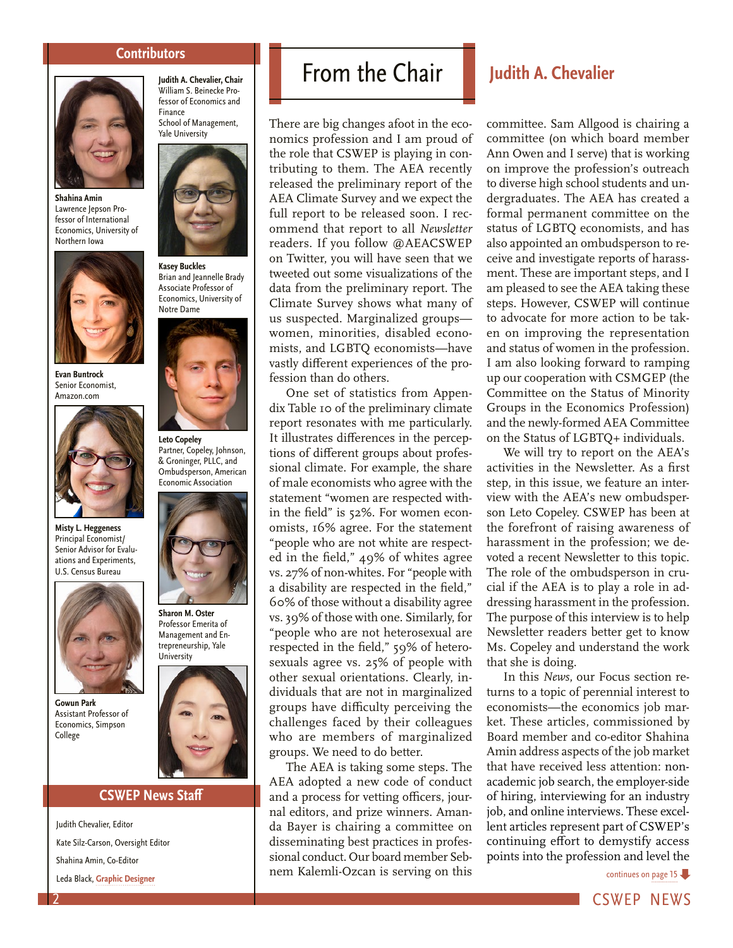## **Contributors**

<span id="page-1-0"></span>

**Shahina Amin** Lawrence Jepson Professor of International Economics, University of Northern Iowa



**Evan Buntrock** Senior Economist, Amazon.com



**Misty L. Heggeness** Principal Economist/ Senior Advisor for Evaluations and Experiments, U.S. Census Bureau



**Gowun Park** Assistant Professor of Economics, Simpson College

### **Judith A. Chevalier, Chair**  William S. Beinecke Professor of Economics and Finance School of Management, Yale University



**Kasey Buckles** Brian and Jeannelle Brady Associate Professor of Economics, University of Notre Dame



**Leto Copeley** Partner, Copeley, Johnson, & Groninger, PLLC, and Ombudsperson, American Economic Association



**Sharon M. Oster** Professor Emerita of Management and Entrepreneurship, Yale University



### **CSWEP News Staff**

Judith Chevalier, Editor Kate Silz-Carson, Oversight Editor Shahina Amin, Co-Editor Leda Black, **[Graphic Designer](http://www.ledablack.com/)**

# From the Chair **Judith A. Chevalier**

There are big changes afoot in the economics profession and I am proud of the role that CSWEP is playing in contributing to them. The AEA recently released the preliminary report of the AEA Climate Survey and we expect the full report to be released soon. I recommend that report to all *Newsletter* readers. If you follow @AEACSWEP on Twitter, you will have seen that we tweeted out some visualizations of the data from the preliminary report. The Climate Survey shows what many of us suspected. Marginalized groups women, minorities, disabled economists, and LGBTQ economists—have vastly different experiences of the profession than do others.

One set of statistics from Appendix Table 10 of the preliminary climate report resonates with me particularly. It illustrates differences in the perceptions of different groups about professional climate. For example, the share of male economists who agree with the statement "women are respected within the field" is 52%. For women economists, 16% agree. For the statement "people who are not white are respected in the field," 49% of whites agree vs. 27% of non-whites. For "people with a disability are respected in the field," 60% of those without a disability agree vs. 39% of those with one. Similarly, for "people who are not heterosexual are respected in the field," 59% of heterosexuals agree vs. 25% of people with other sexual orientations. Clearly, individuals that are not in marginalized groups have difficulty perceiving the challenges faced by their colleagues who are members of marginalized groups. We need to do better.

The AEA is taking some steps. The AEA adopted a new code of conduct and a process for vetting officers, journal editors, and prize winners. Amanda Bayer is chairing a committee on disseminating best practices in professional conduct. Our board member Sebnem Kalemli-Ozcan is serving on this

committee. Sam Allgood is chairing a committee (on which board member Ann Owen and I serve) that is working on improve the profession's outreach to diverse high school students and undergraduates. The AEA has created a formal permanent committee on the status of LGBTQ economists, and has also appointed an ombudsperson to receive and investigate reports of harassment. These are important steps, and I am pleased to see the AEA taking these steps. However, CSWEP will continue to advocate for more action to be taken on improving the representation and status of women in the profession. I am also looking forward to ramping up our cooperation with CSMGEP (the Committee on the Status of Minority Groups in the Economics Profession) and the newly-formed AEA Committee on the Status of LGBTQ+ individuals.

We will try to report on the AEA's activities in the Newsletter. As a first step, in this issue, we feature an interview with the AEA's new ombudsperson Leto Copeley. CSWEP has been at the forefront of raising awareness of harassment in the profession; we devoted a recent Newsletter to this topic. The role of the ombudsperson in crucial if the AEA is to play a role in addressing harassment in the profession. The purpose of this interview is to help Newsletter readers better get to know Ms. Copeley and understand the work that she is doing.

In this *News*, our Focus section returns to a topic of perennial interest to economists—the economics job market. These articles, commissioned by Board member and co-editor Shahina Amin address aspects of the job market that have received less attention: nonacademic job search, the employer-side of hiring, interviewing for an industry job, and online interviews. These excellent articles represent part of CSWEP's continuing effort to demystify access points into the profession and level the

[continues on page 15](#page-14-0)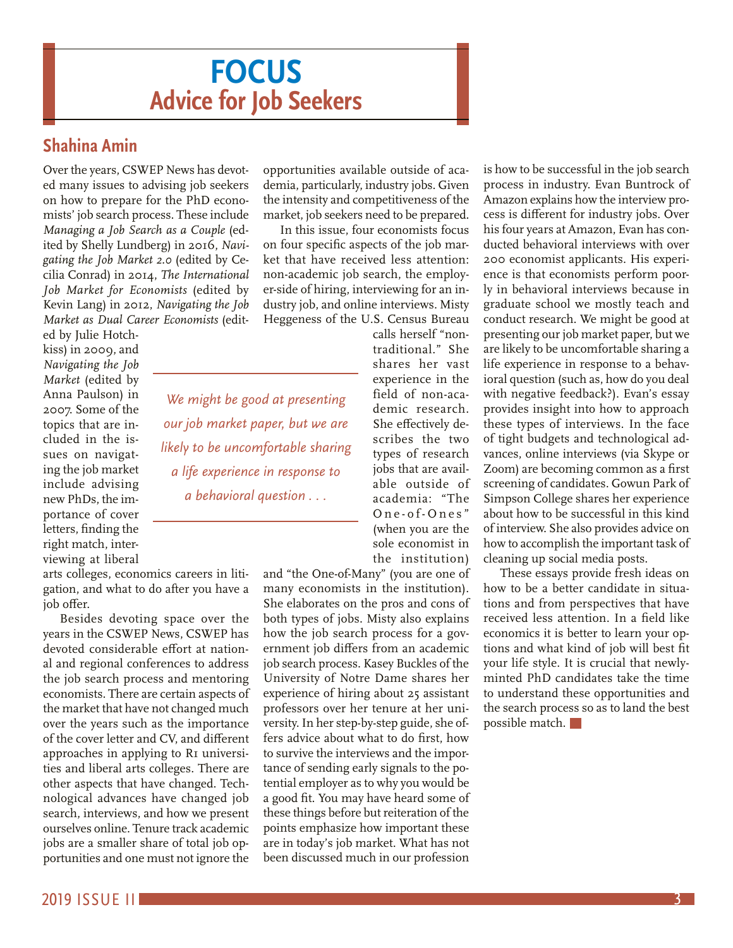# **FOCUS Advice for Job Seekers**

*We might be good at presenting* 

*our job market paper, but we are likely to be uncomfortable sharing a life experience in response to a behavioral question . . .*

# <span id="page-2-0"></span>**Shahina Amin**

Over the years, CSWEP News has devoted many issues to advising job seekers on how to prepare for the PhD economists' job search process. These include *Managing a Job Search as a Couple* (edited by Shelly Lundberg) in 2016, *Navigating the Job Market 2.0* (edited by Cecilia Conrad) in 2014, *The International Job Market for Economists* (edited by Kevin Lang) in 2012, *Navigating the Job Market as Dual Career Economists* (edit-

ed by Julie Hotchkiss) in 2009, and *Navigating the Job Market* (edited by Anna Paulson) in 2007. Some of the topics that are included in the issues on navigating the job market include advising new PhDs, the importance of cover letters, finding the right match, interviewing at liberal

arts colleges, economics careers in litigation, and what to do after you have a job offer.

Besides devoting space over the years in the CSWEP News, CSWEP has devoted considerable effort at national and regional conferences to address the job search process and mentoring economists. There are certain aspects of the market that have not changed much over the years such as the importance of the cover letter and CV, and different approaches in applying to RI universities and liberal arts colleges. There are other aspects that have changed. Technological advances have changed job search, interviews, and how we present ourselves online. Tenure track academic jobs are a smaller share of total job opportunities and one must not ignore the

opportunities available outside of academia, particularly, industry jobs. Given the intensity and competitiveness of the market, job seekers need to be prepared.

In this issue, four economists focus on four specific aspects of the job market that have received less attention: non-academic job search, the employer-side of hiring, interviewing for an industry job, and online interviews. Misty Heggeness of the U.S. Census Bureau

> calls herself "nontraditional." She shares her vast experience in the field of non-academic research. She effectively describes the two types of research jobs that are available outside of academia: "The One-of-Ones" (when you are the sole economist in the institution)

and "the One-of-Many" (you are one of many economists in the institution). She elaborates on the pros and cons of both types of jobs. Misty also explains how the job search process for a government job differs from an academic job search process. Kasey Buckles of the University of Notre Dame shares her experience of hiring about 25 assistant professors over her tenure at her university. In her step-by-step guide, she offers advice about what to do first, how to survive the interviews and the importance of sending early signals to the potential employer as to why you would be a good fit. You may have heard some of these things before but reiteration of the points emphasize how important these are in today's job market. What has not been discussed much in our profession

is how to be successful in the job search process in industry. Evan Buntrock of Amazon explains how the interview process is different for industry jobs. Over his four years at Amazon, Evan has conducted behavioral interviews with over 200 economist applicants. His experience is that economists perform poorly in behavioral interviews because in graduate school we mostly teach and conduct research. We might be good at presenting our job market paper, but we are likely to be uncomfortable sharing a life experience in response to a behavioral question (such as, how do you deal with negative feedback?). Evan's essay provides insight into how to approach these types of interviews. In the face of tight budgets and technological advances, online interviews (via Skype or Zoom) are becoming common as a first screening of candidates. Gowun Park of Simpson College shares her experience about how to be successful in this kind of interview. She also provides advice on how to accomplish the important task of cleaning up social media posts.

These essays provide fresh ideas on how to be a better candidate in situations and from perspectives that have received less attention. In a field like economics it is better to learn your options and what kind of job will best fit your life style. It is crucial that newlyminted PhD candidates take the time to understand these opportunities and the search process so as to land the best possible match.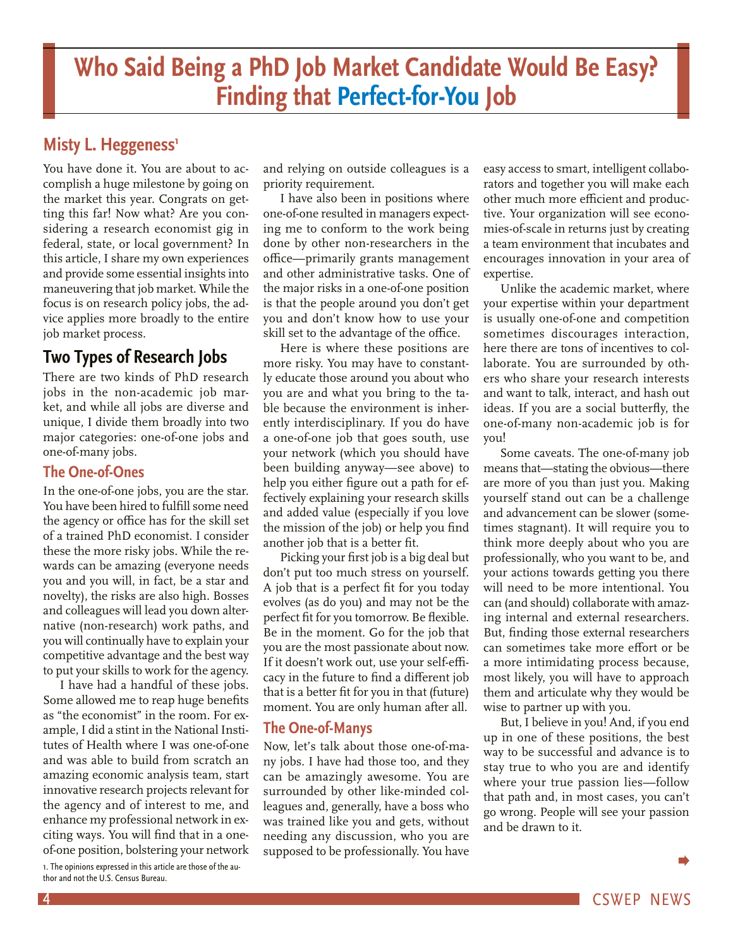# <span id="page-3-0"></span>**Misty L. Heggeness<sup>1</sup>**

You have done it. You are about to accomplish a huge milestone by going on the market this year. Congrats on getting this far! Now what? Are you considering a research economist gig in federal, state, or local government? In this article, I share my own experiences and provide some essential insights into maneuvering that job market. While the focus is on research policy jobs, the advice applies more broadly to the entire job market process.

# **Two Types of Research Jobs**

There are two kinds of PhD research jobs in the non-academic job market, and while all jobs are diverse and unique, I divide them broadly into two major categories: one-of-one jobs and one-of-many jobs.

# **The One-of-Ones**

In the one-of-one jobs, you are the star. You have been hired to fulfill some need the agency or office has for the skill set of a trained PhD economist. I consider these the more risky jobs. While the rewards can be amazing (everyone needs you and you will, in fact, be a star and novelty), the risks are also high. Bosses and colleagues will lead you down alternative (non-research) work paths, and you will continually have to explain your competitive advantage and the best way to put your skills to work for the agency.

I have had a handful of these jobs. Some allowed me to reap huge benefits as "the economist" in the room. For example, I did a stint in the National Institutes of Health where I was one-of-one and was able to build from scratch an amazing economic analysis team, start innovative research projects relevant for the agency and of interest to me, and enhance my professional network in exciting ways. You will find that in a oneof-one position, bolstering your network

1. The opinions expressed in this article are those of the author and not the U.S. Census Bureau.

and relying on outside colleagues is a priority requirement.

I have also been in positions where one-of-one resulted in managers expecting me to conform to the work being done by other non-researchers in the office—primarily grants management and other administrative tasks. One of the major risks in a one-of-one position is that the people around you don't get you and don't know how to use your skill set to the advantage of the office.

Here is where these positions are more risky. You may have to constantly educate those around you about who you are and what you bring to the table because the environment is inherently interdisciplinary. If you do have a one-of-one job that goes south, use your network (which you should have been building anyway—see above) to help you either figure out a path for effectively explaining your research skills and added value (especially if you love the mission of the job) or help you find another job that is a better fit.

Picking your first job is a big deal but don't put too much stress on yourself. A job that is a perfect fit for you today evolves (as do you) and may not be the perfect fit for you tomorrow. Be flexible. Be in the moment. Go for the job that you are the most passionate about now. If it doesn't work out, use your self-efficacy in the future to find a different job that is a better fit for you in that (future) moment. You are only human after all.

# **The One-of-Manys**

Now, let's talk about those one-of-many jobs. I have had those too, and they can be amazingly awesome. You are surrounded by other like-minded colleagues and, generally, have a boss who was trained like you and gets, without needing any discussion, who you are supposed to be professionally. You have easy access to smart, intelligent collaborators and together you will make each other much more efficient and productive. Your organization will see economies-of-scale in returns just by creating a team environment that incubates and encourages innovation in your area of expertise.

Unlike the academic market, where your expertise within your department is usually one-of-one and competition sometimes discourages interaction, here there are tons of incentives to collaborate. You are surrounded by others who share your research interests and want to talk, interact, and hash out ideas. If you are a social butterfly, the one-of-many non-academic job is for you!

Some caveats. The one-of-many job means that—stating the obvious—there are more of you than just you. Making yourself stand out can be a challenge and advancement can be slower (sometimes stagnant). It will require you to think more deeply about who you are professionally, who you want to be, and your actions towards getting you there will need to be more intentional. You can (and should) collaborate with amazing internal and external researchers. But, finding those external researchers can sometimes take more effort or be a more intimidating process because, most likely, you will have to approach them and articulate why they would be wise to partner up with you.

But, I believe in you! And, if you end up in one of these positions, the best way to be successful and advance is to stay true to who you are and identify where your true passion lies—follow that path and, in most cases, you can't go wrong. People will see your passion and be drawn to it.

 $\blacktriangleright$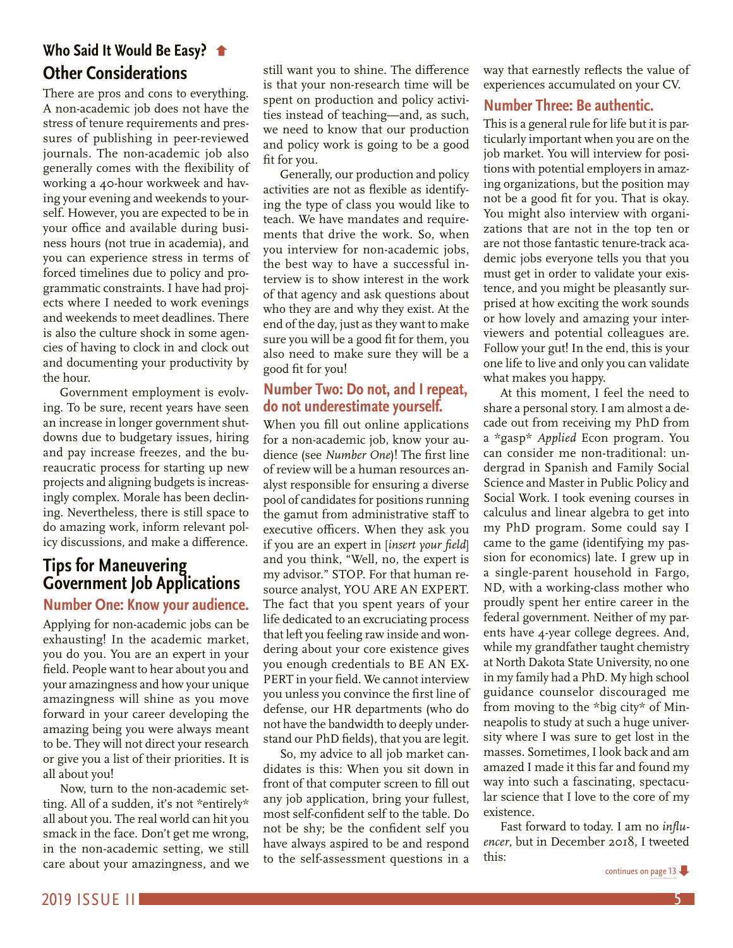# <span id="page-4-0"></span>**[Who Said It Would Be Easy?](#page-3-0) Other Considerations**

There are pros and cons to everything. A non-academic job does not have the stress of tenure requirements and pressures of publishing in peer-reviewed journals. The non-academic job also generally comes with the flexibility of working a 40-hour workweek and having your evening and weekends to yourself. However, you are expected to be in your office and available during business hours (not true in academia), and you can experience stress in terms of forced timelines due to policy and programmatic constraints. I have had projects where I needed to work evenings and weekends to meet deadlines. There is also the culture shock in some agencies of having to clock in and clock out and documenting your productivity by the hour.

Government employment is evolving. To be sure, recent years have seen an increase in longer government shutdowns due to budgetary issues, hiring and pay increase freezes, and the bureaucratic process for starting up new projects and aligning budgets is increasingly complex. Morale has been declining. Nevertheless, there is still space to do amazing work, inform relevant policy discussions, and make a difference.

# **Tips for Maneuvering Government Job Applications**

# **Number One: Know your audience.**

Applying for non-academic jobs can be exhausting! In the academic market, you do you. You are an expert in your field. People want to hear about you and your amazingness and how your unique amazingness will shine as you move forward in your career developing the amazing being you were always meant to be. They will not direct your research or give you a list of their priorities. It is all about you!

Now, turn to the non-academic setting. All of a sudden, it's not \*entirely\* all about you. The real world can hit you smack in the face. Don't get me wrong, in the non-academic setting, we still care about your amazingness, and we

still want you to shine. The difference is that your non-research time will be spent on production and policy activities instead of teaching—and, as such, we need to know that our production and policy work is going to be a good fit for you.

Generally, our production and policy activities are not as flexible as identifying the type of class you would like to teach. We have mandates and requirements that drive the work. So, when you interview for non-academic jobs, the best way to have a successful interview is to show interest in the work of that agency and ask questions about who they are and why they exist. At the end of the day, just as they want to make sure you will be a good fit for them, you also need to make sure they will be a good fit for you!

# **Number Two: Do not, and I repeat, do not underestimate yourself.**

When you fill out online applications for a non-academic job, know your audience (see *Number One*)! The first line of review will be a human resources analyst responsible for ensuring a diverse pool of candidates for positions running the gamut from administrative staff to executive officers. When they ask you if you are an expert in [*insert your field*] and you think, "Well, no, the expert is my advisor." STOP. For that human resource analyst, YOU ARE AN EXPERT. The fact that you spent years of your life dedicated to an excruciating process that left you feeling raw inside and wondering about your core existence gives you enough credentials to BE AN EX-PERT in your field. We cannot interview you unless you convince the first line of defense, our HR departments (who do not have the bandwidth to deeply understand our PhD fields), that you are legit.

So, my advice to all job market candidates is this: When you sit down in front of that computer screen to fill out any job application, bring your fullest, most self-confident self to the table. Do not be shy; be the confident self you have always aspired to be and respond to the self-assessment questions in a

way that earnestly reflects the value of experiences accumulated on your CV.

# **Number Three: Be authentic.**

This is a general rule for life but it is particularly important when you are on the job market. You will interview for positions with potential employers in amazing organizations, but the position may not be a good fit for you. That is okay. You might also interview with organizations that are not in the top ten or are not those fantastic tenure-track academic jobs everyone tells you that you must get in order to validate your existence, and you might be pleasantly surprised at how exciting the work sounds or how lovely and amazing your interviewers and potential colleagues are. Follow your gut! In the end, this is your one life to live and only you can validate what makes you happy.

At this moment, I feel the need to share a personal story. I am almost a decade out from receiving my PhD from a \*gasp\* *Applied* Econ program. You can consider me non-traditional: undergrad in Spanish and Family Social Science and Master in Public Policy and Social Work. I took evening courses in calculus and linear algebra to get into my PhD program. Some could say I came to the game (identifying my passion for economics) late. I grew up in a single-parent household in Fargo, ND, with a working-class mother who proudly spent her entire career in the federal government. Neither of my parents have 4-year college degrees. And, while my grandfather taught chemistry at North Dakota State University, no one in my family had a PhD. My high school guidance counselor discouraged me from moving to the \*big city\* of Minneapolis to study at such a huge university where I was sure to get lost in the masses. Sometimes, I look back and am amazed I made it this far and found my way into such a fascinating, spectacular science that I love to the core of my existence.

Fast forward to today. I am no *influencer*, but in December 2018, I tweeted this: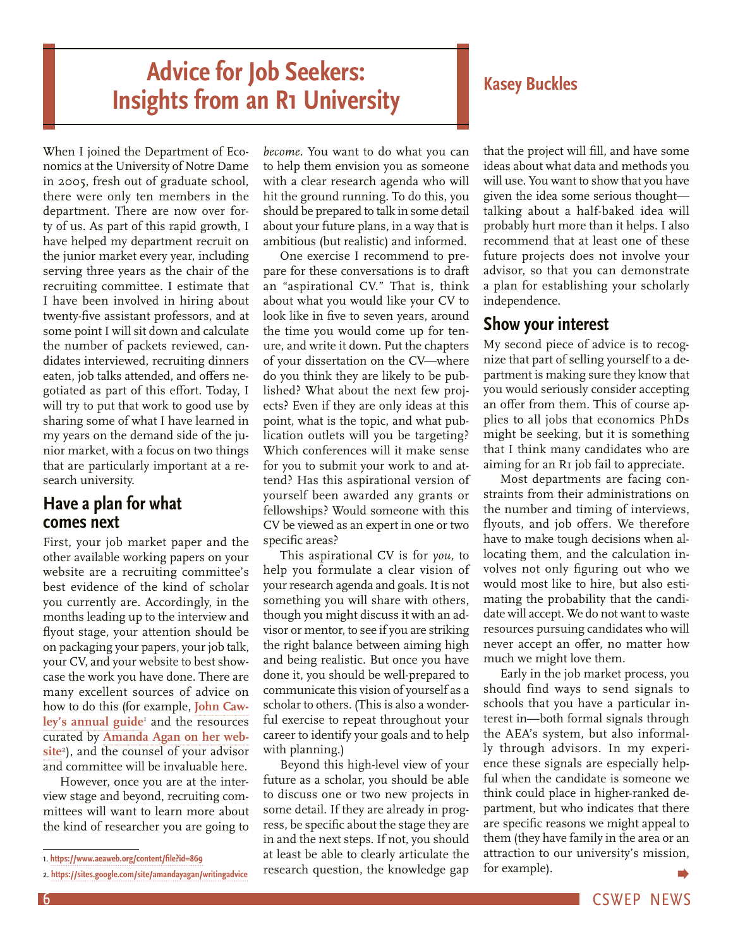# <span id="page-5-0"></span>**Advice for Job Seekers: Insights from an R1 University Kasey Buckles**

When I joined the Department of Economics at the University of Notre Dame in 2005, fresh out of graduate school, there were only ten members in the department. There are now over forty of us. As part of this rapid growth, I have helped my department recruit on the junior market every year, including serving three years as the chair of the recruiting committee. I estimate that I have been involved in hiring about twenty-five assistant professors, and at some point I will sit down and calculate the number of packets reviewed, candidates interviewed, recruiting dinners eaten, job talks attended, and offers negotiated as part of this effort. Today, I will try to put that work to good use by sharing some of what I have learned in my years on the demand side of the junior market, with a focus on two things that are particularly important at a research university.

# **Have a plan for what comes next**

First, your job market paper and the other available working papers on your website are a recruiting committee's best evidence of the kind of scholar you currently are. Accordingly, in the months leading up to the interview and flyout stage, your attention should be on packaging your papers, your job talk, your CV, and your website to best showcase the work you have done. There are many excellent sources of advice on how to do this (for example, **[John Caw](https://www.aeaweb.org/content/file?id=869)**[ley's annual guide](https://www.aeaweb.org/content/file?id=869)<sup>1</sup> and the resources curated by **Amanda Agan on [her web](https://sites.google.com/site/amandayagan/writingadvice)[site](https://sites.google.com/site/amandayagan/writingadvice)**<sup>2</sup> ), and the counsel of your advisor and committee will be invaluable here.

However, once you are at the interview stage and beyond, recruiting committees will want to learn more about the kind of researcher you are going to

*become.* You want to do what you can to help them envision you as someone with a clear research agenda who will hit the ground running. To do this, you should be prepared to talk in some detail about your future plans, in a way that is ambitious (but realistic) and informed.

One exercise I recommend to prepare for these conversations is to draft an "aspirational CV." That is, think about what you would like your CV to look like in five to seven years, around the time you would come up for tenure, and write it down. Put the chapters of your dissertation on the CV—where do you think they are likely to be published? What about the next few projects? Even if they are only ideas at this point, what is the topic, and what publication outlets will you be targeting? Which conferences will it make sense for you to submit your work to and attend? Has this aspirational version of yourself been awarded any grants or fellowships? Would someone with this CV be viewed as an expert in one or two specific areas?

This aspirational CV is for *you,* to help you formulate a clear vision of your research agenda and goals. It is not something you will share with others, though you might discuss it with an advisor or mentor, to see if you are striking the right balance between aiming high and being realistic. But once you have done it, you should be well-prepared to communicate this vision of yourself as a scholar to others. (This is also a wonderful exercise to repeat throughout your career to identify your goals and to help with planning.)

Beyond this high-level view of your future as a scholar, you should be able to discuss one or two new projects in some detail. If they are already in progress, be specific about the stage they are in and the next steps. If not, you should at least be able to clearly articulate the research question, the knowledge gap

that the project will fill, and have some ideas about what data and methods you will use. You want to show that you have given the idea some serious thought talking about a half-baked idea will probably hurt more than it helps. I also recommend that at least one of these future projects does not involve your advisor, so that you can demonstrate a plan for establishing your scholarly independence.

# **Show your interest**

My second piece of advice is to recognize that part of selling yourself to a department is making sure they know that you would seriously consider accepting an offer from them. This of course applies to all jobs that economics PhDs might be seeking, but it is something that I think many candidates who are aiming for an R1 job fail to appreciate.

Most departments are facing constraints from their administrations on the number and timing of interviews, flyouts, and job offers. We therefore have to make tough decisions when allocating them, and the calculation involves not only figuring out who we would most like to hire, but also estimating the probability that the candidate will accept. We do not want to waste resources pursuing candidates who will never accept an offer, no matter how much we might love them.

Early in the job market process, you should find ways to send signals to schools that you have a particular interest in—both formal signals through the AEA's system, but also informally through advisors. In my experience these signals are especially helpful when the candidate is someone we think could place in higher-ranked department, but who indicates that there are specific reasons we might appeal to them (they have family in the area or an attraction to our university's mission, for example).

<sup>1.</sup> **<https://www.aeaweb.org/content/file?id=869>**

<sup>2.</sup> **<https://sites.google.com/site/amandayagan/writingadvice>**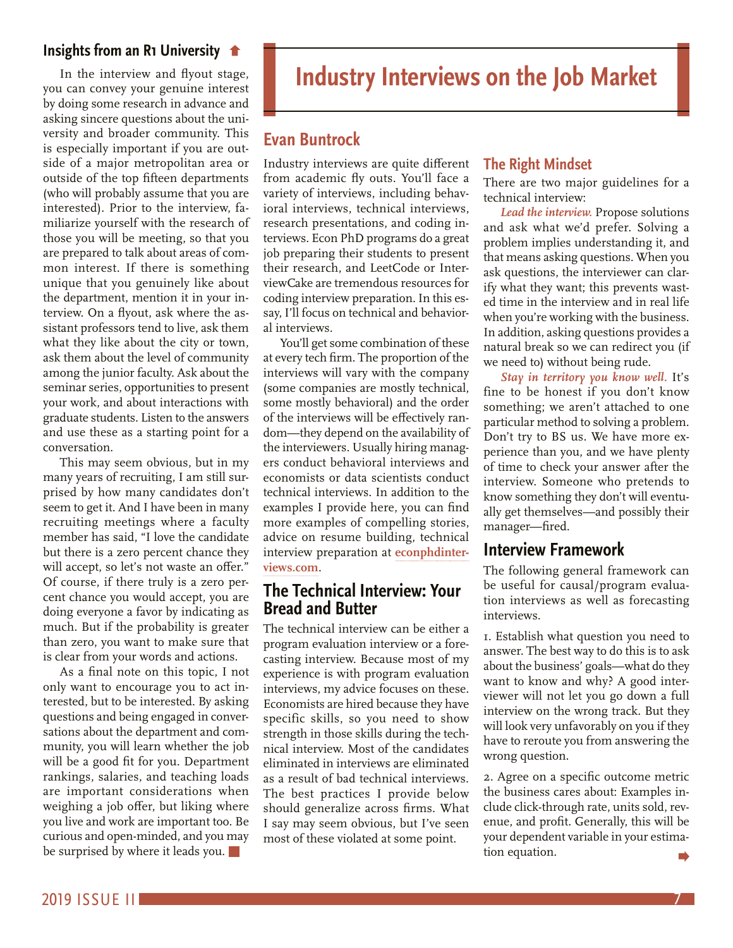# <span id="page-6-0"></span>**[Insights from an R1 University](#page-5-0)**

In the interview and flyout stage, you can convey your genuine interest by doing some research in advance and asking sincere questions about the university and broader community. This is especially important if you are outside of a major metropolitan area or outside of the top fifteen departments (who will probably assume that you are interested). Prior to the interview, familiarize yourself with the research of those you will be meeting, so that you are prepared to talk about areas of common interest. If there is something unique that you genuinely like about the department, mention it in your interview. On a flyout, ask where the assistant professors tend to live, ask them what they like about the city or town, ask them about the level of community among the junior faculty. Ask about the seminar series, opportunities to present your work, and about interactions with graduate students. Listen to the answers and use these as a starting point for a conversation.

This may seem obvious, but in my many years of recruiting, I am still surprised by how many candidates don't seem to get it. And I have been in many recruiting meetings where a faculty member has said, "I love the candidate but there is a zero percent chance they will accept, so let's not waste an offer." Of course, if there truly is a zero percent chance you would accept, you are doing everyone a favor by indicating as much. But if the probability is greater than zero, you want to make sure that is clear from your words and actions.

As a final note on this topic, I not only want to encourage you to act interested, but to be interested. By asking questions and being engaged in conversations about the department and community, you will learn whether the job will be a good fit for you. Department rankings, salaries, and teaching loads are important considerations when weighing a job offer, but liking where you live and work are important too. Be curious and open-minded, and you may be surprised by where it leads you.

# **Industry Interviews on the Job Market**

# **Evan Buntrock**

Industry interviews are quite different from academic fly outs. You'll face a variety of interviews, including behavioral interviews, technical interviews, research presentations, and coding interviews. Econ PhD programs do a great job preparing their students to present their research, and LeetCode or InterviewCake are tremendous resources for coding interview preparation. In this essay, I'll focus on technical and behavioral interviews.

You'll get some combination of these at every tech firm. The proportion of the interviews will vary with the company (some companies are mostly technical, some mostly behavioral) and the order of the interviews will be effectively random—they depend on the availability of the interviewers. Usually hiring managers conduct behavioral interviews and economists or data scientists conduct technical interviews. In addition to the examples I provide here, you can find more examples of compelling stories, advice on resume building, technical interview preparation at **[econphdinter](http://econphdinterviews.com)[views.com](http://econphdinterviews.com)***.*

# **The Technical Interview: Your Bread and Butter**

The technical interview can be either a program evaluation interview or a forecasting interview. Because most of my experience is with program evaluation interviews, my advice focuses on these. Economists are hired because they have specific skills, so you need to show strength in those skills during the technical interview. Most of the candidates eliminated in interviews are eliminated as a result of bad technical interviews. The best practices I provide below should generalize across firms. What I say may seem obvious, but I've seen most of these violated at some point.

# **The Right Mindset**

There are two major guidelines for a technical interview:

*Lead the interview.* Propose solutions and ask what we'd prefer. Solving a problem implies understanding it, and that means asking questions. When you ask questions, the interviewer can clarify what they want; this prevents wasted time in the interview and in real life when you're working with the business. In addition, asking questions provides a natural break so we can redirect you (if we need to) without being rude.

*Stay in territory you know well.* It's fine to be honest if you don't know something; we aren't attached to one particular method to solving a problem. Don't try to BS us. We have more experience than you, and we have plenty of time to check your answer after the interview. Someone who pretends to know something they don't will eventually get themselves—and possibly their manager—fired.

# **Interview Framework**

The following general framework can be useful for causal/program evaluation interviews as well as forecasting interviews.

1. Establish what question you need to answer. The best way to do this is to ask about the business' goals—what do they want to know and why? A good interviewer will not let you go down a full interview on the wrong track. But they will look very unfavorably on you if they have to reroute you from answering the wrong question.

2. Agree on a specific outcome metric the business cares about: Examples include click-through rate, units sold, revenue, and profit. Generally, this will be your dependent variable in your estimation equation.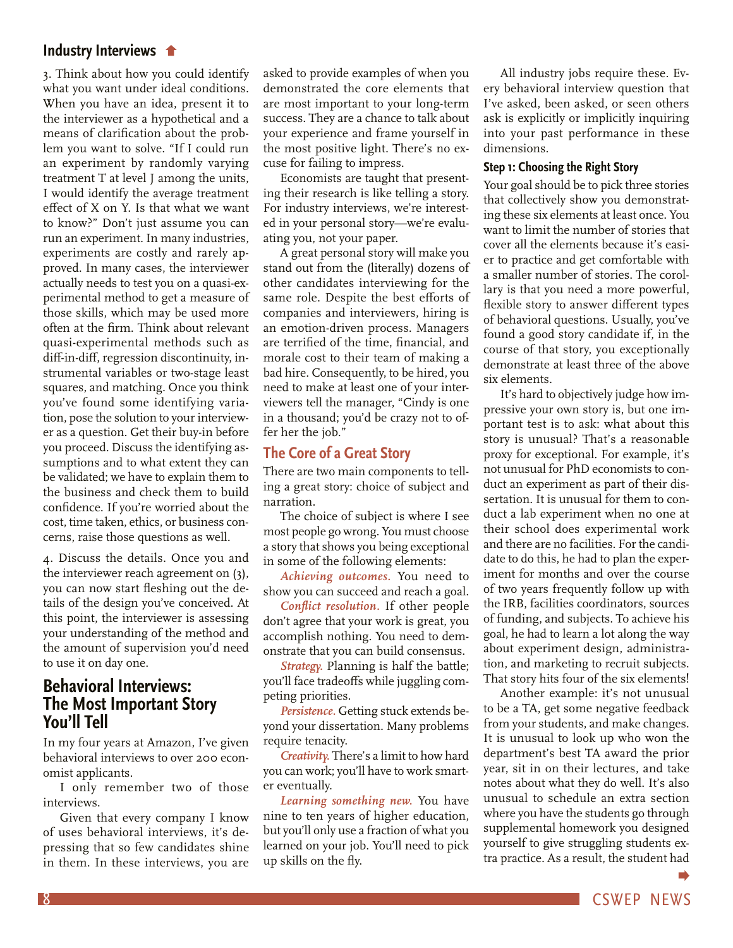## <span id="page-7-0"></span>**Industry Interviews**

[3. Think about how you could identify](#page-6-0)  what you want under ideal conditions. When you have an idea, present it to the interviewer as a hypothetical and a means of clarification about the problem you want to solve. "If I could run an experiment by randomly varying treatment T at level J among the units, I would identify the average treatment effect of X on Y. Is that what we want to know?" Don't just assume you can run an experiment. In many industries, experiments are costly and rarely approved. In many cases, the interviewer actually needs to test you on a quasi-experimental method to get a measure of those skills, which may be used more often at the firm. Think about relevant quasi-experimental methods such as diff-in-diff, regression discontinuity, instrumental variables or two-stage least squares, and matching. Once you think you've found some identifying variation, pose the solution to your interviewer as a question. Get their buy-in before you proceed. Discuss the identifying assumptions and to what extent they can be validated; we have to explain them to the business and check them to build confidence. If you're worried about the cost, time taken, ethics, or business concerns, raise those questions as well.

4. Discuss the details. Once you and the interviewer reach agreement on (3), you can now start fleshing out the details of the design you've conceived. At this point, the interviewer is assessing your understanding of the method and the amount of supervision you'd need to use it on day one.

# **Behavioral Interviews: The Most Important Story You'll Tell**

In my four years at Amazon, I've given behavioral interviews to over 200 economist applicants.

I only remember two of those interviews.

Given that every company I know of uses behavioral interviews, it's depressing that so few candidates shine in them. In these interviews, you are asked to provide examples of when you demonstrated the core elements that are most important to your long-term success. They are a chance to talk about your experience and frame yourself in the most positive light. There's no excuse for failing to impress.

Economists are taught that presenting their research is like telling a story. For industry interviews, we're interested in your personal story—we're evaluating you, not your paper.

A great personal story will make you stand out from the (literally) dozens of other candidates interviewing for the same role. Despite the best efforts of companies and interviewers, hiring is an emotion-driven process. Managers are terrified of the time, financial, and morale cost to their team of making a bad hire. Consequently, to be hired, you need to make at least one of your interviewers tell the manager, "Cindy is one in a thousand; you'd be crazy not to offer her the job."

# **The Core of a Great Story**

There are two main components to telling a great story: choice of subject and narration.

The choice of subject is where I see most people go wrong. You must choose a story that shows you being exceptional in some of the following elements:

*Achieving outcomes.* You need to show you can succeed and reach a goal.

*Conflict resolution.* If other people don't agree that your work is great, you accomplish nothing. You need to demonstrate that you can build consensus.

*Strategy.* Planning is half the battle; you'll face tradeoffs while juggling competing priorities.

*Persistence.* Getting stuck extends beyond your dissertation. Many problems require tenacity.

*Creativity.* There's a limit to how hard you can work; you'll have to work smarter eventually.

*Learning something new.* You have nine to ten years of higher education, but you'll only use a fraction of what you learned on your job. You'll need to pick up skills on the fly.

All industry jobs require these. Every behavioral interview question that I've asked, been asked, or seen others ask is explicitly or implicitly inquiring into your past performance in these dimensions.

### **Step 1: Choosing the Right Story**

Your goal should be to pick three stories that collectively show you demonstrating these six elements at least once. You want to limit the number of stories that cover all the elements because it's easier to practice and get comfortable with a smaller number of stories. The corollary is that you need a more powerful, flexible story to answer different types of behavioral questions. Usually, you've found a good story candidate if, in the course of that story, you exceptionally demonstrate at least three of the above six elements.

It's hard to objectively judge how impressive your own story is, but one important test is to ask: what about this story is unusual? That's a reasonable proxy for exceptional. For example, it's not unusual for PhD economists to conduct an experiment as part of their dissertation. It is unusual for them to conduct a lab experiment when no one at their school does experimental work and there are no facilities. For the candidate to do this, he had to plan the experiment for months and over the course of two years frequently follow up with the IRB, facilities coordinators, sources of funding, and subjects. To achieve his goal, he had to learn a lot along the way about experiment design, administration, and marketing to recruit subjects. That story hits four of the six elements!

Another example: it's not unusual to be a TA, get some negative feedback from your students, and make changes. It is unusual to look up who won the department's best TA award the prior year, sit in on their lectures, and take notes about what they do well. It's also unusual to schedule an extra section where you have the students go through supplemental homework you designed yourself to give struggling students extra practice. As a result, the student had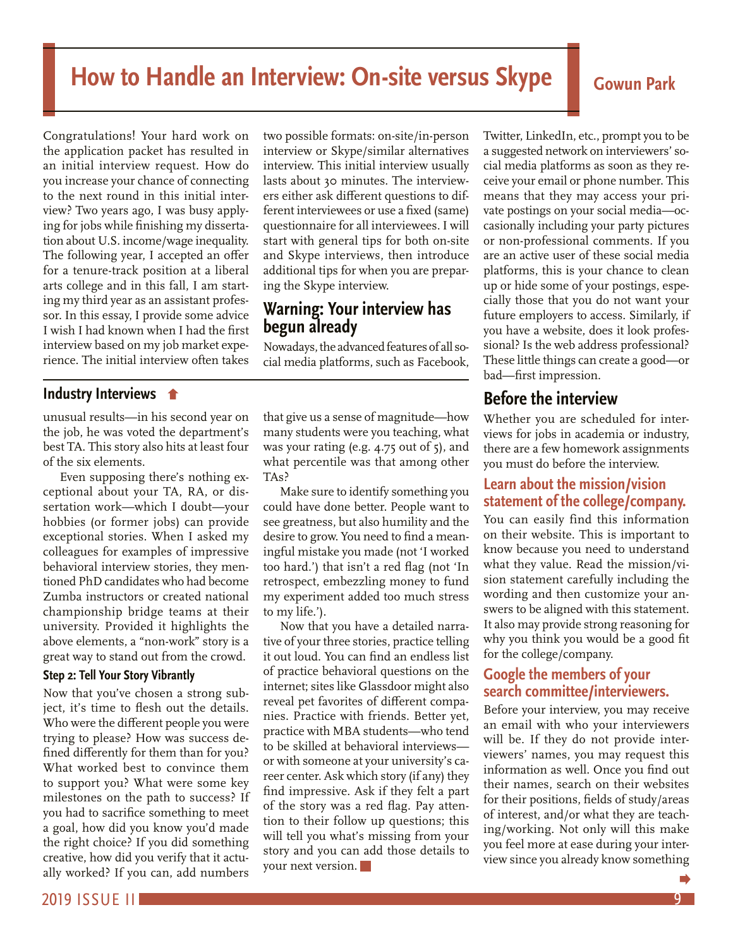# <span id="page-8-0"></span>How to Handle an Interview: On-site versus Skype **Cowun Park**

Congratulations! Your hard work on the application packet has resulted in an initial interview request. How do you increase your chance of connecting to the next round in this initial interview? Two years ago, I was busy applying for jobs while finishing my dissertation about U.S. income/wage inequality. The following year, I accepted an offer for a tenure-track position at a liberal arts college and in this fall, I am starting my third year as an assistant professor. In this essay, I provide some advice I wish I had known when I had the first interview based on my job market experience. The initial interview often takes

# **[Industry Interviews](#page-7-0)**

unusual results—in his second year on the job, he was voted the department's best TA. This story also hits at least four of the six elements.

Even supposing there's nothing exceptional about your TA, RA, or dissertation work—which I doubt—your hobbies (or former jobs) can provide exceptional stories. When I asked my colleagues for examples of impressive behavioral interview stories, they mentioned PhD candidates who had become Zumba instructors or created national championship bridge teams at their university. Provided it highlights the above elements, a "non-work" story is a great way to stand out from the crowd.

### **Step 2: Tell Your Story Vibrantly**

Now that you've chosen a strong subject, it's time to flesh out the details. Who were the different people you were trying to please? How was success defined differently for them than for you? What worked best to convince them to support you? What were some key milestones on the path to success? If you had to sacrifice something to meet a goal, how did you know you'd made the right choice? If you did something creative, how did you verify that it actually worked? If you can, add numbers

two possible formats: on-site/in-person interview or Skype/similar alternatives interview. This initial interview usually lasts about 30 minutes. The interviewers either ask different questions to different interviewees or use a fixed (same) questionnaire for all interviewees. I will start with general tips for both on-site and Skype interviews, then introduce additional tips for when you are preparing the Skype interview.

# **Warning: Your interview has begun already**

Nowadays, the advanced features of all social media platforms, such as Facebook,

that give us a sense of magnitude—how many students were you teaching, what was your rating (e.g. 4.75 out of 5), and what percentile was that among other TAs?

Make sure to identify something you could have done better. People want to see greatness, but also humility and the desire to grow. You need to find a meaningful mistake you made (not 'I worked too hard.') that isn't a red flag (not 'In retrospect, embezzling money to fund my experiment added too much stress to my life.').

Now that you have a detailed narrative of your three stories, practice telling it out loud. You can find an endless list of practice behavioral questions on the internet; sites like Glassdoor might also reveal pet favorites of different companies. Practice with friends. Better yet, practice with MBA students—who tend to be skilled at behavioral interviews or with someone at your university's career center. Ask which story (if any) they find impressive. Ask if they felt a part of the story was a red flag. Pay attention to their follow up questions; this will tell you what's missing from your story and you can add those details to your next version.

Twitter, LinkedIn, etc., prompt you to be a suggested network on interviewers' social media platforms as soon as they receive your email or phone number. This means that they may access your private postings on your social media—occasionally including your party pictures or non-professional comments. If you are an active user of these social media platforms, this is your chance to clean up or hide some of your postings, especially those that you do not want your future employers to access. Similarly, if you have a website, does it look professional? Is the web address professional? These little things can create a good—or bad—first impression.

# **Before the interview**

Whether you are scheduled for interviews for jobs in academia or industry, there are a few homework assignments you must do before the interview.

# **Learn about the mission/vision statement of the college/company.**

You can easily find this information on their website. This is important to know because you need to understand what they value. Read the mission/vision statement carefully including the wording and then customize your answers to be aligned with this statement. It also may provide strong reasoning for why you think you would be a good fit for the college/company.

# **Google the members of your search committee/interviewers.**

Before your interview, you may receive an email with who your interviewers will be. If they do not provide interviewers' names, you may request this information as well. Once you find out their names, search on their websites for their positions, fields of study/areas of interest, and/or what they are teaching/working. Not only will this make you feel more at ease during your interview since you already know something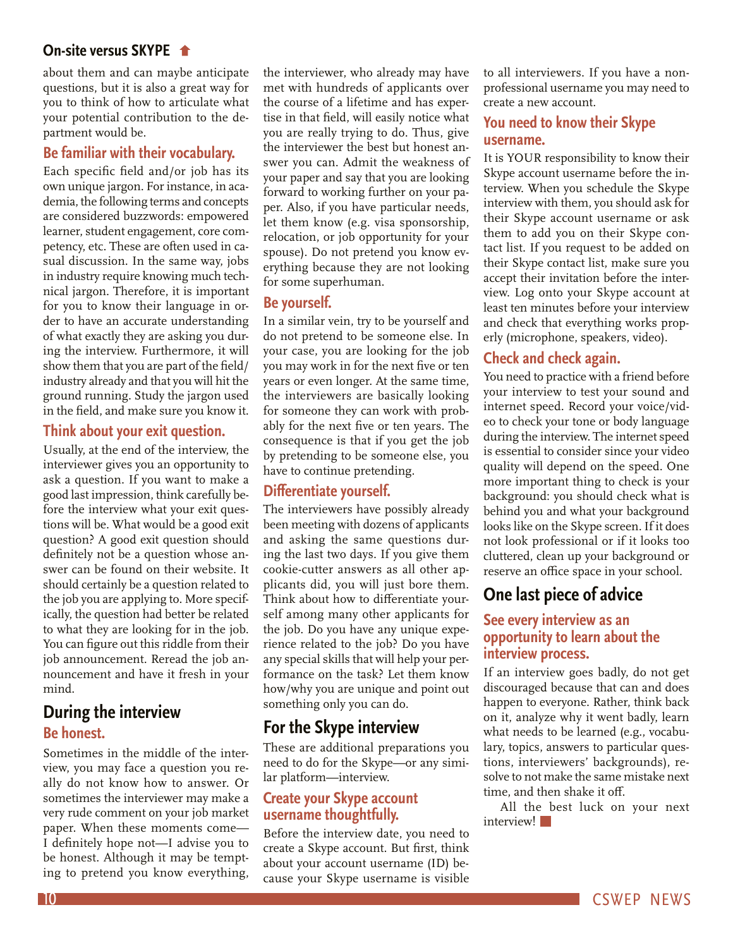# **On-site versus SKYPE**

[about them and can maybe anticipate](#page-8-0)  questions, but it is also a great way for you to think of how to articulate what your potential contribution to the department would be.

# **Be familiar with their vocabulary.**

Each specific field and/or job has its own unique jargon. For instance, in academia, the following terms and concepts are considered buzzwords: empowered learner, student engagement, core competency, etc. These are often used in casual discussion. In the same way, jobs in industry require knowing much technical jargon. Therefore, it is important for you to know their language in order to have an accurate understanding of what exactly they are asking you during the interview. Furthermore, it will show them that you are part of the field/ industry already and that you will hit the ground running. Study the jargon used in the field, and make sure you know it.

# **Think about your exit question.**

Usually, at the end of the interview, the interviewer gives you an opportunity to ask a question. If you want to make a good last impression, think carefully before the interview what your exit questions will be. What would be a good exit question? A good exit question should definitely not be a question whose answer can be found on their website. It should certainly be a question related to the job you are applying to. More specifically, the question had better be related to what they are looking for in the job. You can figure out this riddle from their job announcement. Reread the job announcement and have it fresh in your mind.

# **During the interview Be honest.**

Sometimes in the middle of the interview, you may face a question you really do not know how to answer. Or sometimes the interviewer may make a very rude comment on your job market paper. When these moments come— I definitely hope not—I advise you to be honest. Although it may be tempting to pretend you know everything,

the interviewer, who already may have met with hundreds of applicants over the course of a lifetime and has expertise in that field, will easily notice what you are really trying to do. Thus, give the interviewer the best but honest answer you can. Admit the weakness of your paper and say that you are looking forward to working further on your paper. Also, if you have particular needs, let them know (e.g. visa sponsorship, relocation, or job opportunity for your spouse). Do not pretend you know everything because they are not looking for some superhuman.

# **Be yourself.**

In a similar vein, try to be yourself and do not pretend to be someone else. In your case, you are looking for the job you may work in for the next five or ten years or even longer. At the same time, the interviewers are basically looking for someone they can work with probably for the next five or ten years. The consequence is that if you get the job by pretending to be someone else, you have to continue pretending.

# **Differentiate yourself.**

The interviewers have possibly already been meeting with dozens of applicants and asking the same questions during the last two days. If you give them cookie-cutter answers as all other applicants did, you will just bore them. Think about how to differentiate yourself among many other applicants for the job. Do you have any unique experience related to the job? Do you have any special skills that will help your performance on the task? Let them know how/why you are unique and point out something only you can do.

# **For the Skype interview**

These are additional preparations you need to do for the Skype—or any similar platform—interview.

# **Create your Skype account username thoughtfully.**

Before the interview date, you need to create a Skype account. But first, think about your account username (ID) because your Skype username is visible to all interviewers. If you have a nonprofessional username you may need to create a new account.

# **You need to know their Skype username.**

It is YOUR responsibility to know their Skype account username before the interview. When you schedule the Skype interview with them, you should ask for their Skype account username or ask them to add you on their Skype contact list. If you request to be added on their Skype contact list, make sure you accept their invitation before the interview. Log onto your Skype account at least ten minutes before your interview and check that everything works properly (microphone, speakers, video).

# **Check and check again.**

You need to practice with a friend before your interview to test your sound and internet speed. Record your voice/video to check your tone or body language during the interview. The internet speed is essential to consider since your video quality will depend on the speed. One more important thing to check is your background: you should check what is behind you and what your background looks like on the Skype screen. If it does not look professional or if it looks too cluttered, clean up your background or reserve an office space in your school.

# **One last piece of advice**

# **See every interview as an opportunity to learn about the interview process.**

If an interview goes badly, do not get discouraged because that can and does happen to everyone. Rather, think back on it, analyze why it went badly, learn what needs to be learned (e.g., vocabulary, topics, answers to particular questions, interviewers' backgrounds), resolve to not make the same mistake next time, and then shake it off.

All the best luck on your next interview!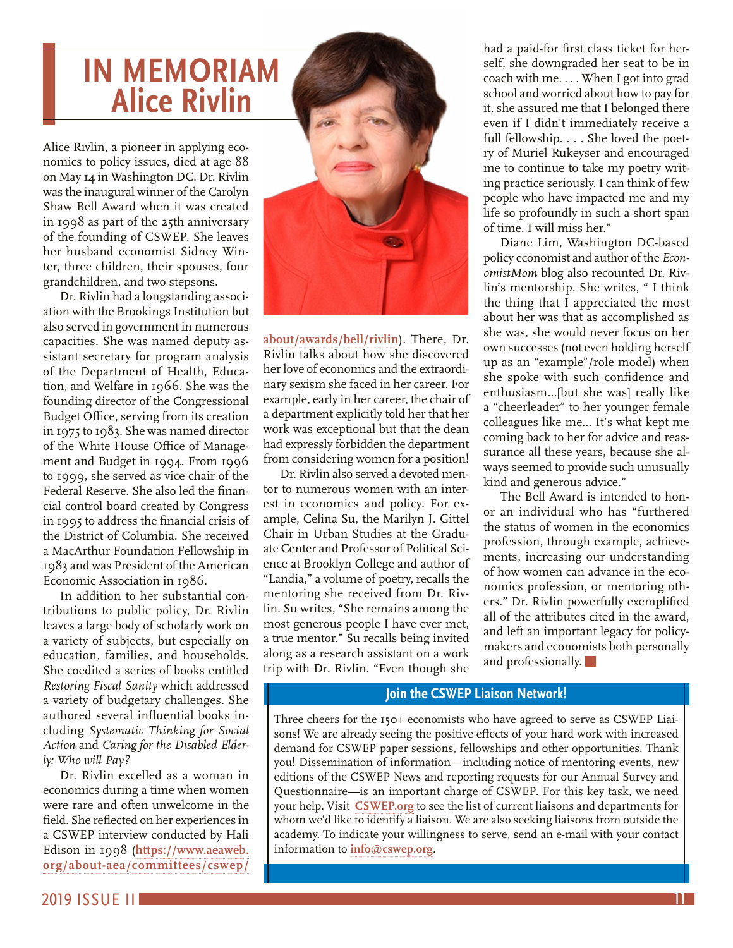# <span id="page-10-0"></span>**IN MEMORIAM Alice Rivlin**

Alice Rivlin, a pioneer in applying economics to policy issues, died at age 88 on May 14 in Washington DC. Dr. Rivlin was the inaugural winner of the Carolyn Shaw Bell Award when it was created in 1998 as part of the 25th anniversary of the founding of CSWEP. She leaves her husband economist Sidney Winter, three children, their spouses, four grandchildren, and two stepsons.

Dr. Rivlin had a longstanding association with the Brookings Institution but also served in government in numerous capacities. She was named deputy assistant secretary for program analysis of the Department of Health, Education, and Welfare in 1966. She was the founding director of the Congressional Budget Office, serving from its creation in 1975 to 1983. She was named director of the White House Office of Management and Budget in 1994. From 1996 to 1999, she served as vice chair of the Federal Reserve. She also led the financial control board created by Congress in 1995 to address the financial crisis of the District of Columbia. She received a MacArthur Foundation Fellowship in 1983 and was President of the American Economic Association in 1986.

In addition to her substantial contributions to public policy, Dr. Rivlin leaves a large body of scholarly work on a variety of subjects, but especially on education, families, and households. She coedited a series of books entitled *Restoring Fiscal Sanity* which addressed a variety of budgetary challenges. She authored several influential books including *Systematic Thinking for Social Action* and *Caring for the Disabled Elderly: Who will Pay?* 

Dr. Rivlin excelled as a woman in economics during a time when women were rare and often unwelcome in the field. She reflected on her experiences in a CSWEP interview conducted by Hali Edison in 1998 (**[https://www.aeaweb.](https://www.aeaweb.org/about-aea/committees/cswep/about/awards/bell/rivlin) [org/about-aea/committees/cswep/](https://www.aeaweb.org/about-aea/committees/cswep/about/awards/bell/rivlin)**



**[about/awards/bell/rivlin](https://www.aeaweb.org/about-aea/committees/cswep/about/awards/bell/rivlin)**). There, Dr. Rivlin talks about how she discovered her love of economics and the extraordinary sexism she faced in her career. For example, early in her career, the chair of a department explicitly told her that her work was exceptional but that the dean had expressly forbidden the department from considering women for a position!

Dr. Rivlin also served a devoted mentor to numerous women with an interest in economics and policy. For example, Celina Su, the Marilyn J. Gittel Chair in Urban Studies at the Graduate Center and Professor of Political Science at Brooklyn College and author of "Landia," a volume of poetry, recalls the mentoring she received from Dr. Rivlin. Su writes, "She remains among the most generous people I have ever met, a true mentor." Su recalls being invited along as a research assistant on a work trip with Dr. Rivlin. "Even though she

had a paid-for first class ticket for herself, she downgraded her seat to be in coach with me.... When I got into grad school and worried about how to pay for it, she assured me that I belonged there even if I didn't immediately receive a full fellowship.... She loved the poetry of Muriel Rukeyser and encouraged me to continue to take my poetry writing practice seriously. I can think of few people who have impacted me and my life so profoundly in such a short span of time. I will miss her."

Diane Lim, Washington DC-based policy economist and author of the *EconomistMom* blog also recounted Dr. Rivlin's mentorship. She writes, " I think the thing that I appreciated the most about her was that as accomplished as she was, she would never focus on her own successes (not even holding herself up as an "example"/role model) when she spoke with such confidence and enthusiasm…[but she was] really like a "cheerleader" to her younger female colleagues like me… It's what kept me coming back to her for advice and reassurance all these years, because she always seemed to provide such unusually kind and generous advice."

The Bell Award is intended to honor an individual who has "furthered the status of women in the economics profession, through example, achievements, increasing our understanding of how women can advance in the economics profession, or mentoring others." Dr. Rivlin powerfully exemplified all of the attributes cited in the award, and left an important legacy for policymakers and economists both personally and professionally.

# **Join the CSWEP Liaison Network!**

Three cheers for the 150+ economists who have agreed to serve as CSWEP Liaisons! We are already seeing the positive effects of your hard work with increased demand for CSWEP paper sessions, fellowships and other opportunities. Thank you! Dissemination of information—including notice of mentoring events, new editions of the CSWEP News and reporting requests for our Annual Survey and Questionnaire—is an important charge of CSWEP. For this key task, we need your help. Visit **[CSWEP.org](https://www.aeaweb.org/about-aea/committees/cswep/participate/liaison-network)** to see the list of current liaisons and departments for whom we'd like to identify a liaison. We are also seeking liaisons from outside the academy. To indicate your willingness to serve, send an e-mail with your contact information to **[info@cswep.org](mailto:info%40cswep.org?subject=)**.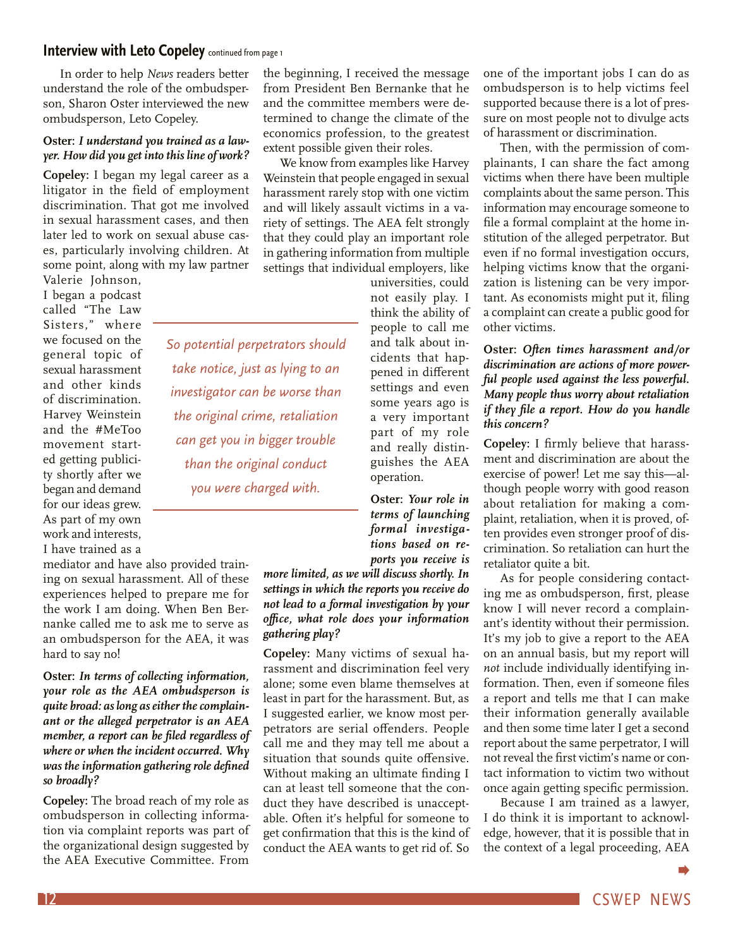# <span id="page-11-0"></span>**[Interview with Leto Copeley](#page-0-0)** continued from page 1

In order to help *News* readers better understand the role of the ombudsperson, Sharon Oster interviewed the new ombudsperson, Leto Copeley.

## **Oster:** *I understand you trained as a lawyer. How did you get into this line of work?*

**Copeley:** I began my legal career as a litigator in the field of employment discrimination. That got me involved in sexual harassment cases, and then later led to work on sexual abuse cases, particularly involving children. At some point, along with my law partner

*So potential perpetrators should* 

*take notice, just as lying to an* 

*investigator can be worse than the original crime, retaliation can get you in bigger trouble than the original conduct* 

*you were charged with.*

Valerie Johnson, I began a podcast called "The Law Sisters," where we focused on the general topic of sexual harassment and other kinds of discrimination. Harvey Weinstein and the #MeToo movement started getting publicity shortly after we began and demand for our ideas grew. As part of my own work and interests, I have trained as a

mediator and have also provided training on sexual harassment. All of these experiences helped to prepare me for the work I am doing. When Ben Bernanke called me to ask me to serve as an ombudsperson for the AEA, it was hard to say no!

**Oster:** *In terms of collecting information, your role as the AEA ombudsperson is quite broad: as long as either the complainant or the alleged perpetrator is an AEA member, a report can be filed regardless of where or when the incident occurred. Why was the information gathering role defined so broadly?*

**Copeley:** The broad reach of my role as ombudsperson in collecting information via complaint reports was part of the organizational design suggested by the AEA Executive Committee. From

the beginning, I received the message from President Ben Bernanke that he and the committee members were determined to change the climate of the economics profession, to the greatest extent possible given their roles.

We know from examples like Harvey Weinstein that people engaged in sexual harassment rarely stop with one victim and will likely assault victims in a variety of settings. The AEA felt strongly that they could play an important role in gathering information from multiple settings that individual employers, like

universities, could not easily play. I think the ability of people to call me and talk about incidents that happened in different settings and even some years ago is a very important part of my role and really distinguishes the AEA operation.

**Oster:** *Your role in terms of launching formal investigations based on reports you receive is* 

*more limited, as we will discuss shortly. In settings in which the reports you receive do not lead to a formal investigation by your office, what role does your information gathering play?*

**Copeley:** Many victims of sexual harassment and discrimination feel very alone; some even blame themselves at least in part for the harassment. But, as I suggested earlier, we know most perpetrators are serial offenders. People call me and they may tell me about a situation that sounds quite offensive. Without making an ultimate finding I can at least tell someone that the conduct they have described is unacceptable. Often it's helpful for someone to get confirmation that this is the kind of conduct the AEA wants to get rid of. So

one of the important jobs I can do as ombudsperson is to help victims feel supported because there is a lot of pressure on most people not to divulge acts of harassment or discrimination.

Then, with the permission of complainants, I can share the fact among victims when there have been multiple complaints about the same person. This information may encourage someone to file a formal complaint at the home institution of the alleged perpetrator. But even if no formal investigation occurs, helping victims know that the organization is listening can be very important. As economists might put it, filing a complaint can create a public good for other victims.

## **Oster:** *Often times harassment and/or discrimination are actions of more powerful people used against the less powerful. Many people thus worry about retaliation if they file a report. How do you handle this concern?*

**Copeley:** I firmly believe that harassment and discrimination are about the exercise of power! Let me say this—although people worry with good reason about retaliation for making a complaint, retaliation, when it is proved, often provides even stronger proof of discrimination. So retaliation can hurt the retaliator quite a bit.

As for people considering contacting me as ombudsperson, first, please know I will never record a complainant's identity without their permission. It's my job to give a report to the AEA on an annual basis, but my report will *not* include individually identifying information. Then, even if someone files a report and tells me that I can make their information generally available and then some time later I get a second report about the same perpetrator, I will not reveal the first victim's name or contact information to victim two without once again getting specific permission.

Because I am trained as a lawyer, I do think it is important to acknowledge, however, that it is possible that in the context of a legal proceeding, AEA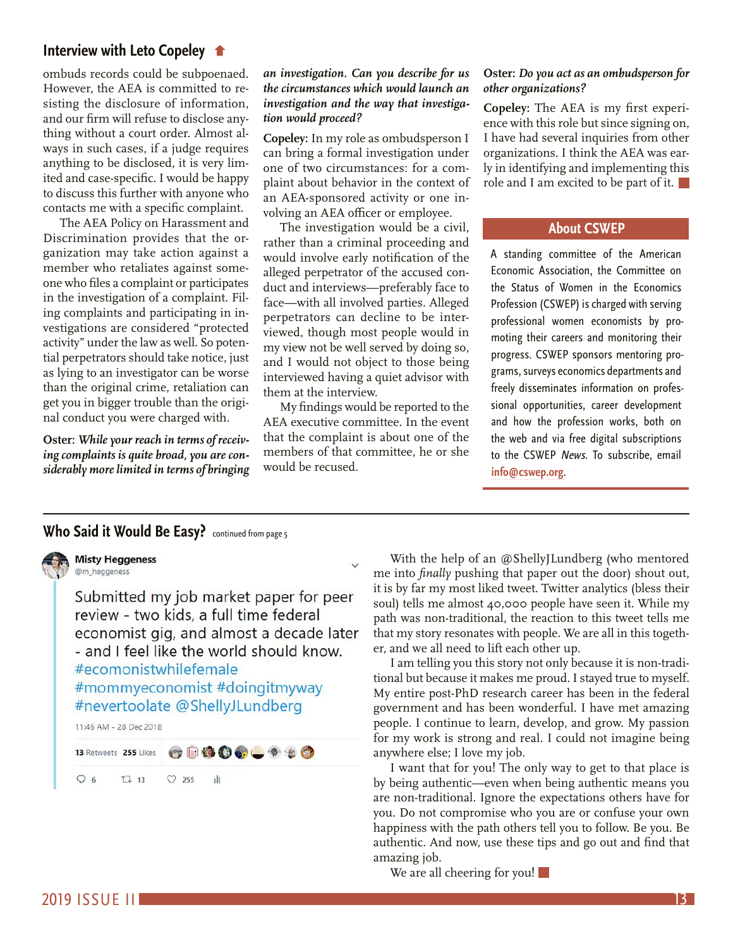## <span id="page-12-0"></span>**[Interview with Leto Copeley](#page-11-0)**

ombuds records could be subpoenaed. However, the AEA is committed to resisting the disclosure of information, and our firm will refuse to disclose anything without a court order. Almost always in such cases, if a judge requires anything to be disclosed, it is very limited and case-specific. I would be happy to discuss this further with anyone who contacts me with a specific complaint.

The AEA Policy on Harassment and Discrimination provides that the organization may take action against a member who retaliates against someone who files a complaint or participates in the investigation of a complaint. Filing complaints and participating in investigations are considered "protected activity" under the law as well. So potential perpetrators should take notice, just as lying to an investigator can be worse than the original crime, retaliation can get you in bigger trouble than the original conduct you were charged with.

**Oster:** *While your reach in terms of receiving complaints is quite broad, you are considerably more limited in terms of bringing* 

## *an investigation. Can you describe for us the circumstances which would launch an investigation and the way that investigation would proceed?*

**Copeley:** In my role as ombudsperson I can bring a formal investigation under one of two circumstances: for a complaint about behavior in the context of an AEA-sponsored activity or one involving an AEA officer or employee.

The investigation would be a civil, rather than a criminal proceeding and would involve early notification of the alleged perpetrator of the accused conduct and interviews—preferably face to face—with all involved parties. Alleged perpetrators can decline to be interviewed, though most people would in my view not be well served by doing so, and I would not object to those being interviewed having a quiet advisor with them at the interview.

My findings would be reported to the AEA executive committee. In the event that the complaint is about one of the members of that committee, he or she would be recused.

## **Oster:** *Do you act as an ombudsperson for other organizations?*

**Copeley:** The AEA is my first experience with this role but since signing on, I have had several inquiries from other organizations. I think the AEA was early in identifying and implementing this role and I am excited to be part of it.

## **About CSWEP**

A standing committee of the American Economic Association, the Committee on the Status of Women in the Economics Profession (CSWEP) is charged with serving professional women economists by promoting their careers and monitoring their progress. CSWEP sponsors mentoring programs, surveys economics departments and freely disseminates information on professional opportunities, career development and how the profession works, both on the web and via free digital subscriptions to the CSWEP News. To subscribe, email **[info@cswep.org](mailto:info%40cswep.org?subject=)**.

# **[Who Said it Would Be Easy?](#page-4-0)** continued from page 5



**Misty Heggeness** @m heageness

Submitted my job market paper for peer review - two kids, a full time federal economist gig, and almost a decade later - and I feel like the world should know. #ecomonistwhilefemale #mommyeconomist #doingitmyway #nevertoolate @ShellyJLundberg

11:46 AM - 28 Dec 2018

 $\bullet \quad \bullet \quad \bullet \quad \bullet \quad \bullet \quad \bullet$ 13 Retweets 255 Likes

<sub>d</sub>h

 $O_6$  $1213$  $O$  255

With the help of an @ShellyJLundberg (who mentored me into *finally* pushing that paper out the door) shout out, it is by far my most liked tweet. Twitter analytics (bless their soul) tells me almost 40,000 people have seen it. While my path was non-traditional, the reaction to this tweet tells me that my story resonates with people. We are all in this together, and we all need to lift each other up.

I am telling you this story not only because it is non-traditional but because it makes me proud. I stayed true to myself. My entire post-PhD research career has been in the federal government and has been wonderful. I have met amazing people. I continue to learn, develop, and grow. My passion for my work is strong and real. I could not imagine being anywhere else; I love my job.

I want that for you! The only way to get to that place is by being authentic—even when being authentic means you are non-traditional. Ignore the expectations others have for you. Do not compromise who you are or confuse your own happiness with the path others tell you to follow. Be you. Be authentic. And now, use these tips and go out and find that amazing job.

We are all cheering for you!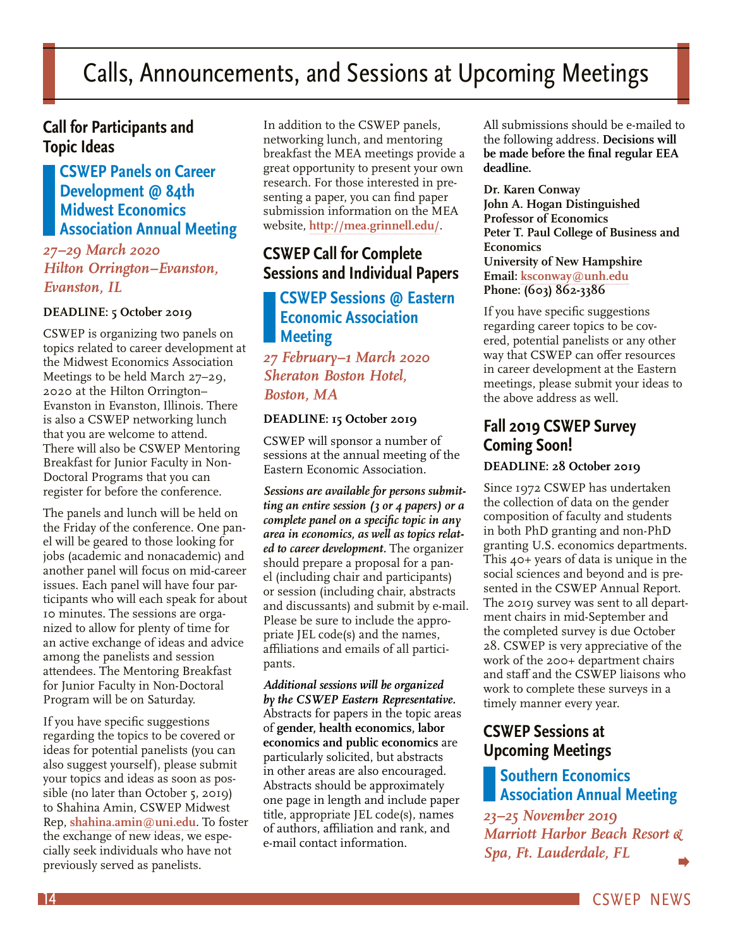# <span id="page-13-0"></span>Calls, Announcements, and Sessions at Upcoming Meetings

# **Call for Participants and Topic Ideas**

# **CSWEP Panels on Career Development @ 84th Midwest Economics Association Annual Meeting**

# *27–29 March 2020 Hilton Orrington–Evanston, Evanston, IL*

## **DEADLINE: 5 October 2019**

CSWEP is organizing two panels on topics related to career development at the Midwest Economics Association Meetings to be held March 27–29, 2020 at the Hilton Orrington– Evanston in Evanston, Illinois. There is also a CSWEP networking lunch that you are welcome to attend. There will also be CSWEP Mentoring Breakfast for Junior Faculty in Non-Doctoral Programs that you can register for before the conference.

The panels and lunch will be held on the Friday of the conference. One panel will be geared to those looking for jobs (academic and nonacademic) and another panel will focus on mid-career issues. Each panel will have four participants who will each speak for about 10 minutes. The sessions are organized to allow for plenty of time for an active exchange of ideas and advice among the panelists and session attendees. The Mentoring Breakfast for Junior Faculty in Non-Doctoral Program will be on Saturday.

If you have specific suggestions regarding the topics to be covered or ideas for potential panelists (you can also suggest yourself), please submit your topics and ideas as soon as possible (no later than October 5, 2019) to Shahina Amin, CSWEP Midwest Rep, **[shahina.amin@uni.edu](mailto:shahina.amin%40uni.edu?subject=)**. To foster the exchange of new ideas, we especially seek individuals who have not previously served as panelists.

In addition to the CSWEP panels, networking lunch, and mentoring breakfast the MEA meetings provide a great opportunity to present your own research. For those interested in presenting a paper, you can find paper submission information on the MEA website, **<http://mea.grinnell.edu/>**.

# **CSWEP Call for Complete Sessions and Individual Papers**

# **CSWEP Sessions @ Eastern Economic Association Meeting**

# *27 February–1 March 2020 Sheraton Boston Hotel, Boston, MA*

## **DEADLINE: 15 October 2019**

CSWEP will sponsor a number of sessions at the annual meeting of the Eastern Economic Association.

*Sessions are available for persons submitting an entire session (3 or 4 papers) or a complete panel on a specific topic in any area in economics, as well as topics related to career development.* The organizer should prepare a proposal for a panel (including chair and participants) or session (including chair, abstracts and discussants) and submit by e-mail. Please be sure to include the appropriate JEL code(s) and the names, affiliations and emails of all participants.

*Additional sessions will be organized by the CSWEP Eastern Representative.*  Abstracts for papers in the topic areas of **gender, health economics, labor economics and public economics** are particularly solicited, but abstracts in other areas are also encouraged. Abstracts should be approximately one page in length and include paper title, appropriate JEL code(s), names of authors, affiliation and rank, and e-mail contact information.

All submissions should be e-mailed to the following address. **Decisions will be made before the final regular EEA deadline.**

**Dr. Karen Conway John A. Hogan Distinguished Professor of Economics Peter T. Paul College of Business and Economics University of New Hampshire Email: [ksconway@unh.edu](mailto:ksconway%40unh.edu?subject=) Phone: (603) 862-3386**

If you have specific suggestions regarding career topics to be covered, potential panelists or any other way that CSWEP can offer resources in career development at the Eastern meetings, please submit your ideas to the above address as well.

# **Fall 2019 CSWEP Survey Coming Soon! DEADLINE: 28 October 2019**

Since 1972 CSWEP has undertaken the collection of data on the gender composition of faculty and students in both PhD granting and non-PhD granting U.S. economics departments. This 40+ years of data is unique in the social sciences and beyond and is presented in the CSWEP Annual Report. The 2019 survey was sent to all department chairs in mid-September and the completed survey is due October 28. CSWEP is very appreciative of the work of the 200+ department chairs and staff and the CSWEP liaisons who work to complete these surveys in a timely manner every year.

# **CSWEP Sessions at Upcoming Meetings**

# **Southern Economics Association Annual Meeting**

*23–25 November 2019 Marriott Harbor Beach Resort & Spa, Ft. Lauderdale, FL*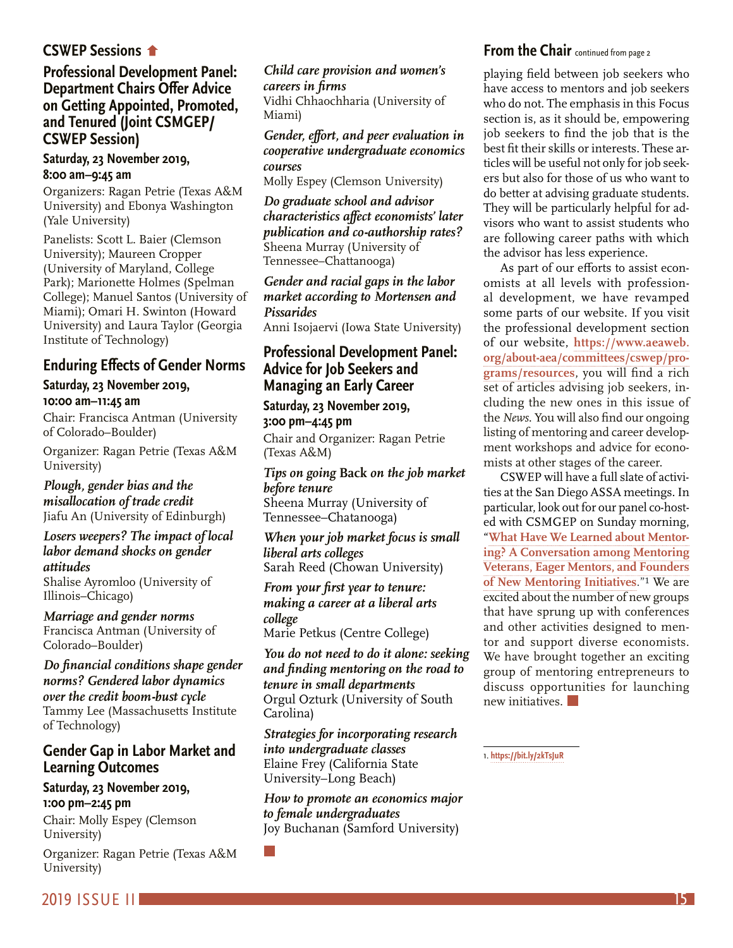# <span id="page-14-0"></span>**CSWEP Sessions**

# **[Professional Development Panel:](#page-13-0)  Department Chairs Offer Advice on Getting Appointed, Promoted, and Tenured (Joint CSMGEP/ CSWEP Session)**

## **Saturday, 23 November 2019, 8:00 am–9:45 am**

Organizers: Ragan Petrie (Texas A&M University) and Ebonya Washington (Yale University)

Panelists: Scott L. Baier (Clemson University); Maureen Cropper (University of Maryland, College Park); Marionette Holmes (Spelman College); Manuel Santos (University of Miami); Omari H. Swinton (Howard University) and Laura Taylor (Georgia Institute of Technology)

# **Enduring Effects of Gender Norms**

# **Saturday, 23 November 2019, 10:00 am–11:45 am**

Chair: Francisca Antman (University of Colorado–Boulder)

Organizer: Ragan Petrie (Texas A&M University)

### *Plough, gender bias and the misallocation of trade credit*

Jiafu An (University of Edinburgh)

### *Losers weepers? The impact of local labor demand shocks on gender attitudes*

Shalise Ayromloo (University of Illinois–Chicago)

*Marriage and gender norms* Francisca Antman (University of Colorado–Boulder)

*Do financial conditions shape gender norms? Gendered labor dynamics over the credit boom-bust cycle* Tammy Lee (Massachusetts Institute of Technology)

# **Gender Gap in Labor Market and Learning Outcomes**

# **Saturday, 23 November 2019, 1:00 pm–2:45 pm**

Chair: Molly Espey (Clemson University)

Organizer: Ragan Petrie (Texas A&M University)

## *Child care provision and women's careers in firms*

Vidhi Chhaochharia (University of Miami)

# *Gender, effort, and peer evaluation in cooperative undergraduate economics courses*

Molly Espey (Clemson University)

*Do graduate school and advisor characteristics affect economists' later publication and co-authorship rates?* Sheena Murray (University of Tennessee–Chattanooga)

*Gender and racial gaps in the labor market according to Mortensen and Pissarides*

Anni Isojaervi (Iowa State University)

# **Professional Development Panel: Advice for Job Seekers and Managing an Early Career**

**Saturday, 23 November 2019, 3:00 pm–4:45 pm**

Chair and Organizer: Ragan Petrie (Texas A&M)

## *Tips on going* **Back** *on the job market before tenure* Sheena Murray (University of Tennessee–Chatanooga)

*When your job market focus is small liberal arts colleges* Sarah Reed (Chowan University)

*From your first year to tenure: making a career at a liberal arts college* Marie Petkus (Centre College)

*You do not need to do it alone: seeking and finding mentoring on the road to tenure in small departments* Orgul Ozturk (University of South Carolina)

*Strategies for incorporating research into undergraduate classes* Elaine Frey (California State University–Long Beach)

*How to promote an economics major to female undergraduates* Joy Buchanan (Samford University)

# **From the Chair** continued from page 2

playing field between job seekers who have access to mentors and job seekers who do not. The emphasis in this Focus section is, as it should be, empowering job seekers to find the job that is the best fit their skills or interests. These articles will be useful not only for job seekers but also for those of us who want to do better at advising graduate students. They will be particularly helpful for advisors who want to assist students who are following career paths with which the advisor has less experience.

As part of our efforts to assist economists at all levels with professional development, we have revamped some parts of our website. If you visit the professional development section of our website, **[https://www.aeaweb.](https://www.aeaweb.org/about-aea/committees/cswep/programs/resources) [org/about-aea/committees/cswep/pro](https://www.aeaweb.org/about-aea/committees/cswep/programs/resources)[grams/resources](https://www.aeaweb.org/about-aea/committees/cswep/programs/resources)**, you will find a rich set of articles advising job seekers, including the new ones in this issue of the *News*. You will also find our ongoing listing of mentoring and career development workshops and advice for economists at other stages of the career.

CSWEP will have a full slate of activities at the San Diego ASSA meetings. In particular, look out for our panel co-hosted with CSMGEP on Sunday morning, "**[What Have We Learned about Mentor](https://www.aeaweb.org/conference/2020/preliminary/1808?q=eNqrVipOLS7OzM8LqSxIVbKqhnGVrJQMlXSUUstS80qAbCOlWh2lxOLi_GQgxwwkU5JalAtkA1kpiZUQRklmbiqEVZaZWg4yrKigXDAoYGqgVFsLXDDC_x8B)[ing? A Conversation among Mentoring](https://www.aeaweb.org/conference/2020/preliminary/1808?q=eNqrVipOLS7OzM8LqSxIVbKqhnGVrJQMlXSUUstS80qAbCOlWh2lxOLi_GQgxwwkU5JalAtkA1kpiZUQRklmbiqEVZaZWg4yrKigXDAoYGqgVFsLXDDC_x8B)  [Veterans, Eager Mentors, and Founders](https://www.aeaweb.org/conference/2020/preliminary/1808?q=eNqrVipOLS7OzM8LqSxIVbKqhnGVrJQMlXSUUstS80qAbCOlWh2lxOLi_GQgxwwkU5JalAtkA1kpiZUQRklmbiqEVZaZWg4yrKigXDAoYGqgVFsLXDDC_x8B)  [of New Mentoring Initiatives](https://www.aeaweb.org/conference/2020/preliminary/1808?q=eNqrVipOLS7OzM8LqSxIVbKqhnGVrJQMlXSUUstS80qAbCOlWh2lxOLi_GQgxwwkU5JalAtkA1kpiZUQRklmbiqEVZaZWg4yrKigXDAoYGqgVFsLXDDC_x8B)**."1 We are excited about the number of new groups that have sprung up with conferences and other activities designed to mentor and support diverse economists. We have brought together an exciting group of mentoring entrepreneurs to discuss opportunities for launching new initiatives.

1. **<https://bit.ly/2kTsJuR>**